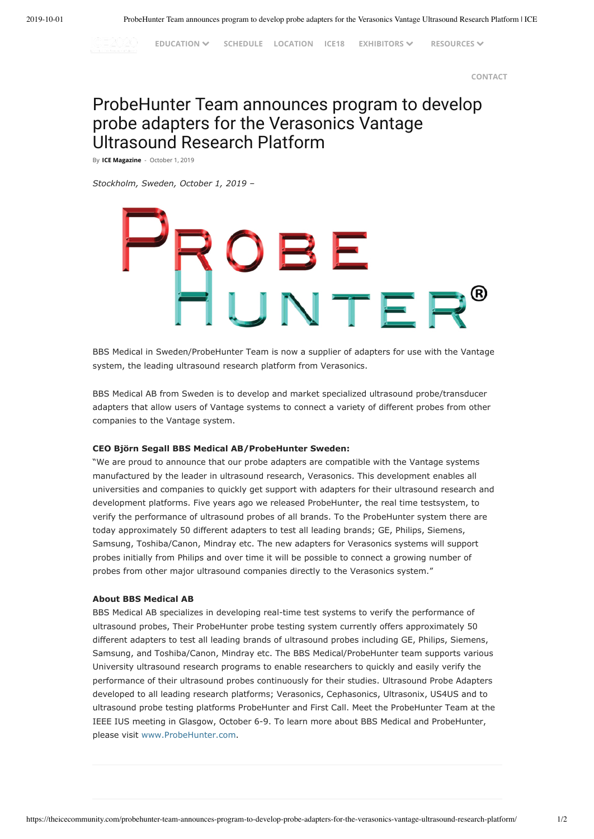**EDUCATION [SCHEDULE](https://theicecommunity.com/conference/schedule/) [LOCATION](https://theicecommunity.com/conference/location/) [ICE18](https://theicecommunity.com/conference/ice18/) EXHIBITORS RESOURCES**

**[CONTACT](https://theicecommunity.com/conference/conference-contact/)**

# ProbeHunter Team announces program to develop probe adapters for the Verasonics Vantage Ultrasound Research Platform

By **ICE [Magazine](https://theicecommunity.com/author/igloo/)** - October 1, 2019

IC 2020

*Stockholm, Sweden, October 1, 2019 –*

# OBE<br>UNTER

BBS Medical in Sweden/ProbeHunter Team is now a supplier of adapters for use with the Vantage system, the leading ultrasound research platform from Verasonics.

BBS Medical AB from Sweden is to develop and market specialized ultrasound probe/transducer adapters that allow users of Vantage systems to connect a variety of different probes from other companies to the Vantage system.

### **CEO Björn Segall BBS Medical AB/ProbeHunter Sweden:**

"We are proud to announce that our probe adapters are compatible with the Vantage systems manufactured by the leader in ultrasound research, Verasonics. This development enables all universities and companies to quickly get support with adapters for their ultrasound research and development platforms. Five years ago we released ProbeHunter, the real time testsystem, to verify the performance of ultrasound probes of all brands. To the ProbeHunter system there are today approximately 50 different adapters to test all leading brands; GE, Philips, Siemens, Samsung, Toshiba/Canon, Mindray etc. The new adapters for Verasonics systems will support probes initially from Philips and over time it will be possible to connect a growing number of probes from other major ultrasound companies directly to the Verasonics system."

### **About BBS Medical AB**

BBS Medical AB specializes in developing real-time test systems to verify the performance of ultrasound probes, Their ProbeHunter probe testing system currently offers approximately 50 different adapters to test all leading brands of ultrasound probes including GE, Philips, Siemens, Samsung, and Toshiba/Canon, Mindray etc. The BBS Medical/ProbeHunter team supports various University ultrasound research programs to enable researchers to quickly and easily verify the performance of their ultrasound probes continuously for their studies. Ultrasound Probe Adapters developed to all leading research platforms; Verasonics, Cephasonics, Ultrasonix, US4US and to ultrasound probe testing platforms ProbeHunter and First Call. Meet the ProbeHunter Team at the IEEE IUS meeting in Glasgow, October 6-9. To learn more about BBS Medical and ProbeHunter, please visit [www.ProbeHunter.com.](https://probehunter.com/)